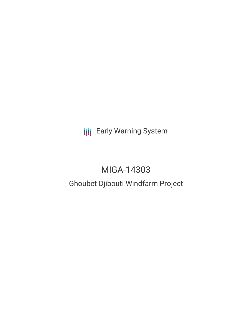**III** Early Warning System

# MIGA-14303

## Ghoubet Djibouti Windfarm Project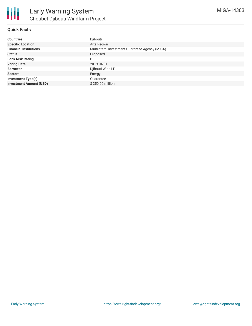#### **Quick Facts**

| <b>Countries</b>               | Djibouti                                        |
|--------------------------------|-------------------------------------------------|
| <b>Specific Location</b>       | Arta Region                                     |
| <b>Financial Institutions</b>  | Multilateral Investment Guarantee Agency (MIGA) |
| <b>Status</b>                  | Proposed                                        |
| <b>Bank Risk Rating</b>        | B                                               |
| <b>Voting Date</b>             | 2019-04-01                                      |
| <b>Borrower</b>                | Djibouti Wind LP                                |
| <b>Sectors</b>                 | Energy                                          |
| <b>Investment Type(s)</b>      | Guarantee                                       |
| <b>Investment Amount (USD)</b> | \$250.00 million                                |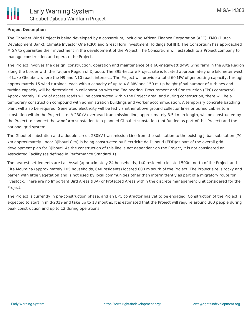

#### **Project Description**

The Ghoubet Wind Project is being developed by a consortium, including African Finance Corporation (AFC), FMO (Dutch Development Bank), Climate Investor One (CIO) and Great Horn Investment Holdings (GHIH). The Consortium has approached MIGA to guarantee their investment in the development of the Project. The Consortium will establish to a Project company to manage construction and operate the Project.

The Project involves the design, construction, operation and maintenance of a 60-megawatt (MW) wind farm in the Arta Region along the border with the Tadjura Region of Djibouti. The 395-hectare Project site is located approximately one kilometer west of Lake Ghoubet, where the N9 and N10 roads intersect. The Project will provide a total 60 MW of generating capacity, through approximately 15 wind turbines, each with a capacity of up to 4.8 MW and 150 m tip height (final number of turbines and turbine capacity will be determined in collaboration with the Engineering, Procurement and Construction (EPC) contractor). Approximately 10 km of access roads will be constructed within the Project area, and during construction, there will be a temporary construction compound with administration buildings and worker accommodation. A temporary concrete batching plant will also be required. Generated electricity will be fed via either above ground collector lines or buried cables to a substation within the Project site. A 230kV overhead transmission line, approximately 3.5 km in length, will be constructed by the Project to connect the windfarm substation to a planned Ghoubet substation (not funded as part of this Project) and the national grid system.

The Ghoubet substation and a double-circuit 230kV transmission Line from the substation to the existing Jaban substation (70 km approximately - near Djibouti City) is being constructed by Electricite de Djibouti (EDD)as part of the overall grid development plan for Djibouti. As the construction of this line is not dependent on the Project, it is not considered an Associated Facility (as defined in Performance Standard 1).

The nearest settlements are Lac Assal (approximately 24 households, 140 residents) located 500m north of the Project and Cite Moumina (approximately 105 households, 640 residents) located 600 m south of the Project. The Project site is rocky and barren with little vegetation and is not used by local communities other than intermittently as part of a migratory route for livestock. There are no Important Bird Areas (IBA) or Protected Areas within the discrete management unit considered for the Project.

The Project is currently in pre-construction phase, and an EPC contractor has yet to be engaged. Construction of the Project is expected to start in mid-2019 and take up to 18 months. It is estimated that the Project will require around 300 people during peak construction and up to 12 during operations.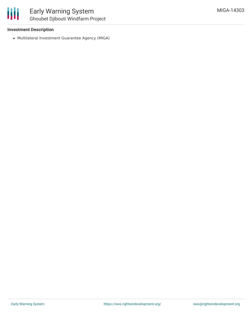#### **Investment Description**

Multilateral Investment Guarantee Agency (MIGA)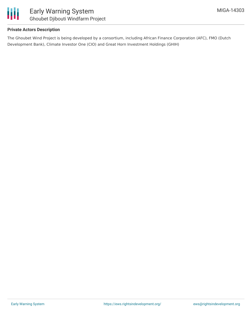

#### **Private Actors Description**

The Ghoubet Wind Project is being developed by a consortium, including African Finance Corporation (AFC), FMO (Dutch Development Bank), Climate Investor One (CIO) and Great Horn Investment Holdings (GHIH)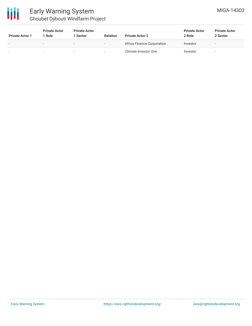

| <b>Private Actor 1</b>   | <b>Private Actor</b><br>1 Role | <b>Private Actor</b><br>l Sector | <b>Relation</b>          | <b>Private Actor 2</b>     | <b>Private Actor</b><br>2 Role | <b>Private Actor</b><br>2 Sector |
|--------------------------|--------------------------------|----------------------------------|--------------------------|----------------------------|--------------------------------|----------------------------------|
| $\overline{\phantom{0}}$ |                                | $\overline{\phantom{0}}$         | $\overline{\phantom{a}}$ | Africa Finance Corporation | Investor                       | $\sim$                           |
| $\overline{\phantom{0}}$ |                                |                                  |                          | Climate Investor One       | Investor                       | $\sim$                           |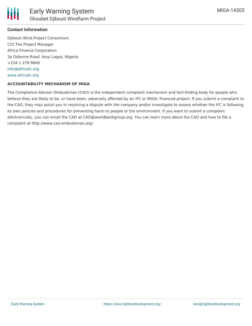

#### **Contact Information**

Djibouti Wind Project Consortium C/O The Project Manager Africa Finance Corporation 3a Osborne Road, Ikoyi Lagos, Nigeria +234 1 279 9600 [info@africafc.org](mailto:info@africafc.org) [www.africafc.org](http://www.africafc.org)

#### **ACCOUNTABILITY MECHANISM OF MIGA**

The Compliance Advisor Ombudsman (CAO) is the independent complaint mechanism and fact-finding body for people who believe they are likely to be, or have been, adversely affected by an IFC or MIGA- financed project. If you submit a complaint to the CAO, they may assist you in resolving a dispute with the company and/or investigate to assess whether the IFC is following its own policies and procedures for preventing harm to people or the environment. If you want to submit a complaint electronically, you can email the CAO at CAO@worldbankgroup.org. You can learn more about the CAO and how to file a complaint at http://www.cao-ombudsman.org/